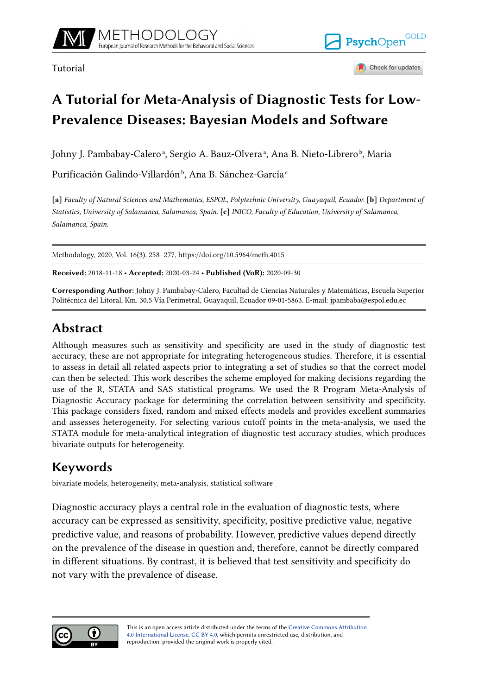

Tutorial



Check for updates

# **A Tutorial for Meta-Analysis of Diagnostic Tests for Low-Prevalence Diseases: Bayesian Models and Software**

Johny J. Pambabay-Caleroª, Sergio A. Bauz-Olveraª, Ana B. Nieto-Libreroʰ, Maria

Purificación Galindo-Villardón<sup>b</sup>, Ana B. Sánchez-García<sup>c</sup>

**[a]** *Faculty of Natural Sciences and Mathematics, ESPOL, Polytechnic University, Guayaquil, Ecuador.* **[b]** *Department of Statistics, University of Salamanca, Salamanca, Spain.* **[c]** *INICO, Faculty of Education, University of Salamanca, Salamanca, Spain.*

Methodology, 2020, Vol. 16(3), 258–277, https://doi.org/10.5964/meth.4015

**Received:** 2018-11-18 • **Accepted:** 2020-03-24 • **Published (VoR):** 2020-09-30

**Corresponding Author:** Johny J. Pambabay-Calero, Facultad de Ciencias Naturales y Matemáticas, Escuela Superior Politécnica del Litoral, Km. 30.5 Vía Perimetral, Guayaquil, Ecuador 09-01-5863. E-mail: jpambaba@espol.edu.ec

# **Abstract**

Although measures such as sensitivity and specificity are used in the study of diagnostic test accuracy, these are not appropriate for integrating heterogeneous studies. Therefore, it is essential to assess in detail all related aspects prior to integrating a set of studies so that the correct model can then be selected. This work describes the scheme employed for making decisions regarding the use of the R, STATA and SAS statistical programs. We used the R Program Meta-Analysis of Diagnostic Accuracy package for determining the correlation between sensitivity and specificity. This package considers fixed, random and mixed effects models and provides excellent summaries and assesses heterogeneity. For selecting various cutoff points in the meta-analysis, we used the STATA module for meta-analytical integration of diagnostic test accuracy studies, which produces bivariate outputs for heterogeneity.

# **Keywords**

bivariate models, heterogeneity, meta-analysis, statistical software

Diagnostic accuracy plays a central role in the evaluation of diagnostic tests, where accuracy can be expressed as sensitivity, specificity, positive predictive value, negative predictive value, and reasons of probability. However, predictive values depend directly on the prevalence of the disease in question and, therefore, cannot be directly compared in different situations. By contrast, it is believed that test sensitivity and specificity do not vary with the prevalence of disease.

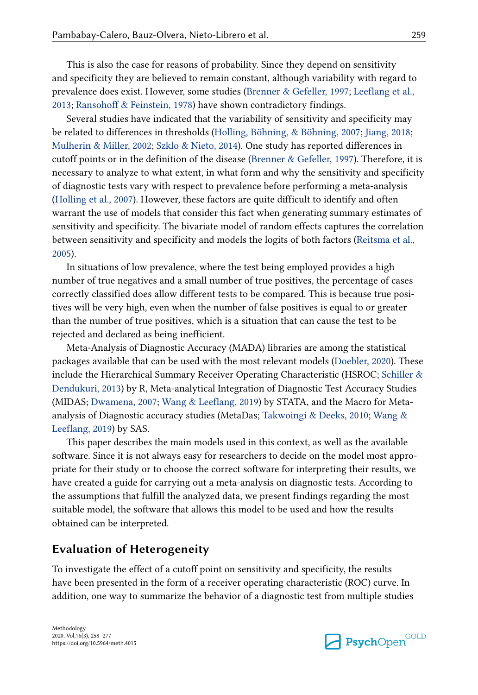This is also the case for reasons of probability. Since they depend on sensitivity and specificity they are believed to remain constant, although variability with regard to prevalence does exist. However, some studies [\(Brenner & Gefeller, 1997;](#page-16-0) [Leeflang et al.,](#page-17-0) [2013;](#page-17-0) [Ransohoff & Feinstein, 1978](#page-18-0)) have shown contradictory findings.

Several studies have indicated that the variability of sensitivity and specificity may be related to differences in thresholds [\(Holling, Böhning, & Böhning, 2007;](#page-17-0) [Jiang, 2018;](#page-17-0) [Mulherin & Miller, 2002](#page-18-0); [Szklo & Nieto, 2014\)](#page-18-0). One study has reported differences in cutoff points or in the definition of the disease [\(Brenner & Gefeller, 1997](#page-16-0)). Therefore, it is necessary to analyze to what extent, in what form and why the sensitivity and specificity of diagnostic tests vary with respect to prevalence before performing a meta-analysis [\(Holling et al., 2007](#page-17-0)). However, these factors are quite difficult to identify and often warrant the use of models that consider this fact when generating summary estimates of sensitivity and specificity. The bivariate model of random effects captures the correlation between sensitivity and specificity and models the logits of both factors [\(Reitsma et al.,](#page-18-0) [2005\)](#page-18-0).

In situations of low prevalence, where the test being employed provides a high number of true negatives and a small number of true positives, the percentage of cases correctly classified does allow different tests to be compared. This is because true positives will be very high, even when the number of false positives is equal to or greater than the number of true positives, which is a situation that can cause the test to be rejected and declared as being inefficient.

Meta-Analysis of Diagnostic Accuracy (MADA) libraries are among the statistical packages available that can be used with the most relevant models ([Doebler, 2020\)](#page-16-0). These include the Hierarchical Summary Receiver Operating Characteristic (HSROC; [Schiller &](#page-18-0) [Dendukuri, 2013](#page-18-0)) by R, Meta-analytical Integration of Diagnostic Test Accuracy Studies (MIDAS; [Dwamena, 2007;](#page-17-0) [Wang & Leeflang, 2019](#page-19-0)) by STATA, and the Macro for Metaanalysis of Diagnostic accuracy studies (MetaDas; [Takwoingi & Deeks, 2010;](#page-18-0) [Wang &](#page-19-0) [Leeflang, 2019\)](#page-19-0) by SAS.

This paper describes the main models used in this context, as well as the available software. Since it is not always easy for researchers to decide on the model most appropriate for their study or to choose the correct software for interpreting their results, we have created a guide for carrying out a meta-analysis on diagnostic tests. According to the assumptions that fulfill the analyzed data, we present findings regarding the most suitable model, the software that allows this model to be used and how the results obtained can be interpreted.

#### **Evaluation of Heterogeneity**

To investigate the effect of a cutoff point on sensitivity and specificity, the results have been presented in the form of a receiver operating characteristic (ROC) curve. In addition, one way to summarize the behavior of a diagnostic test from multiple studies

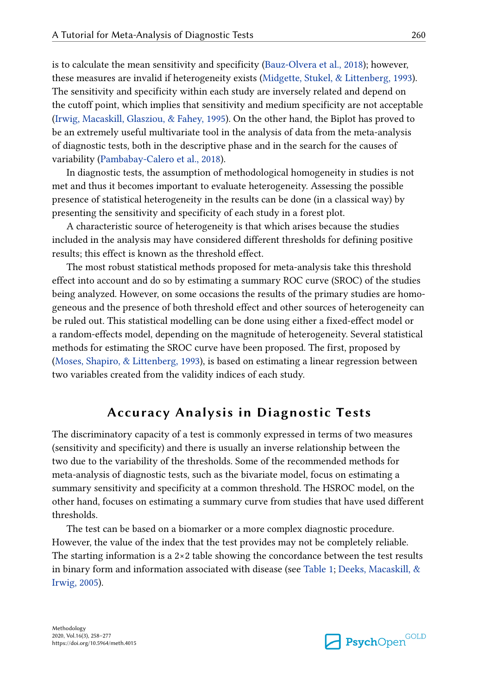is to calculate the mean sensitivity and specificity [\(Bauz-Olvera et al., 2018](#page-16-0)); however, these measures are invalid if heterogeneity exists [\(Midgette, Stukel, & Littenberg, 1993\)](#page-18-0). The sensitivity and specificity within each study are inversely related and depend on the cutoff point, which implies that sensitivity and medium specificity are not acceptable [\(Irwig, Macaskill, Glasziou, & Fahey, 1995\)](#page-17-0). On the other hand, the Biplot has proved to be an extremely useful multivariate tool in the analysis of data from the meta-analysis of diagnostic tests, both in the descriptive phase and in the search for the causes of variability [\(Pambabay-Calero et al., 2018\)](#page-18-0).

In diagnostic tests, the assumption of methodological homogeneity in studies is not met and thus it becomes important to evaluate heterogeneity. Assessing the possible presence of statistical heterogeneity in the results can be done (in a classical way) by presenting the sensitivity and specificity of each study in a forest plot.

A characteristic source of heterogeneity is that which arises because the studies included in the analysis may have considered different thresholds for defining positive results; this effect is known as the threshold effect.

The most robust statistical methods proposed for meta-analysis take this threshold effect into account and do so by estimating a summary ROC curve (SROC) of the studies being analyzed. However, on some occasions the results of the primary studies are homogeneous and the presence of both threshold effect and other sources of heterogeneity can be ruled out. This statistical modelling can be done using either a fixed-effect model or a random-effects model, depending on the magnitude of heterogeneity. Several statistical methods for estimating the SROC curve have been proposed. The first, proposed by [\(Moses, Shapiro, & Littenberg, 1993\)](#page-18-0), is based on estimating a linear regression between two variables created from the validity indices of each study.

## **Accuracy Analysis in Diagnostic Tests**

The discriminatory capacity of a test is commonly expressed in terms of two measures (sensitivity and specificity) and there is usually an inverse relationship between the two due to the variability of the thresholds. Some of the recommended methods for meta-analysis of diagnostic tests, such as the bivariate model, focus on estimating a summary sensitivity and specificity at a common threshold. The HSROC model, on the other hand, focuses on estimating a summary curve from studies that have used different thresholds.

The test can be based on a biomarker or a more complex diagnostic procedure. However, the value of the index that the test provides may not be completely reliable. The starting information is a  $2\times 2$  table showing the concordance between the test results in binary form and information associated with disease (see [Table 1;](#page-3-0) [Deeks, Macaskill, &](#page-16-0) [Irwig, 2005](#page-16-0)).

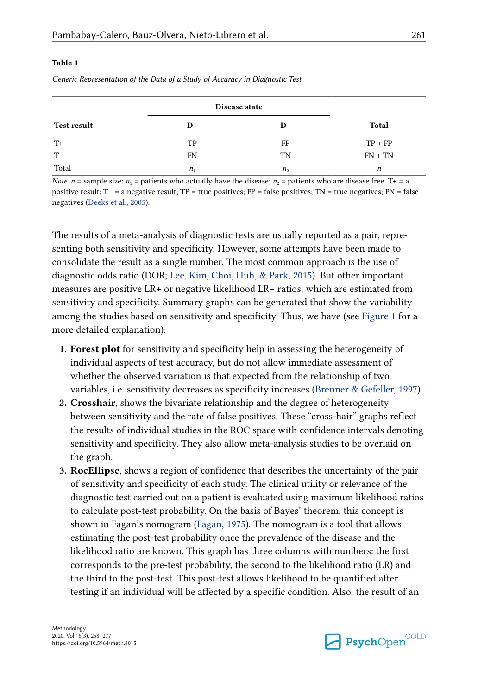#### <span id="page-3-0"></span>**Table 1**

|                    | Disease state              |              |           |
|--------------------|----------------------------|--------------|-----------|
| <b>Test result</b> | D+                         | $D-$         | Total     |
| $T+$               | TP                         | FP           | $TP + FP$ |
| $T-$               | <b>FN</b>                  | TN           | $FN + TN$ |
| Total              | $n_{\scriptscriptstyle 1}$ | $n_{\alpha}$ | n         |

*Generic Representation of the Data of a Study of Accuracy in Diagnostic Test*

*Note. n* = sample size; *n*<sub>1</sub> = patients who actually have the disease; *n*<sub>2</sub> = patients who are disease free. T+ = a positive result; T− = a negative result; TP = true positives; FP = false positives; TN = true negatives; FN = false negatives [\(Deeks et al., 2005\)](#page-16-0).

The results of a meta-analysis of diagnostic tests are usually reported as a pair, repre‐ senting both sensitivity and specificity. However, some attempts have been made to consolidate the result as a single number. The most common approach is the use of diagnostic odds ratio (DOR; [Lee, Kim, Choi, Huh, & Park, 2015\)](#page-17-0). But other important measures are positive LR+ or negative likelihood LR− ratios, which are estimated from sensitivity and specificity. Summary graphs can be generated that show the variability among the studies based on sensitivity and specificity. Thus, we have (see [Figure 1](#page-4-0) for a more detailed explanation):

- **1. Forest plot** for sensitivity and specificity help in assessing the heterogeneity of individual aspects of test accuracy, but do not allow immediate assessment of whether the observed variation is that expected from the relationship of two variables, i.e. sensitivity decreases as specificity increases ([Brenner & Gefeller, 1997\)](#page-16-0).
- **2. Crosshair**, shows the bivariate relationship and the degree of heterogeneity between sensitivity and the rate of false positives. These "cross-hair" graphs reflect the results of individual studies in the ROC space with confidence intervals denoting sensitivity and specificity. They also allow meta-analysis studies to be overlaid on the graph.
- **3. RocEllipse**, shows a region of confidence that describes the uncertainty of the pair of sensitivity and specificity of each study. The clinical utility or relevance of the diagnostic test carried out on a patient is evaluated using maximum likelihood ratios to calculate post-test probability. On the basis of Bayes' theorem, this concept is shown in Fagan's nomogram ([Fagan, 1975\)](#page-17-0). The nomogram is a tool that allows estimating the post-test probability once the prevalence of the disease and the likelihood ratio are known. This graph has three columns with numbers: the first corresponds to the pre-test probability, the second to the likelihood ratio (LR) and the third to the post-test. This post-test allows likelihood to be quantified after testing if an individual will be affected by a specific condition. Also, the result of an

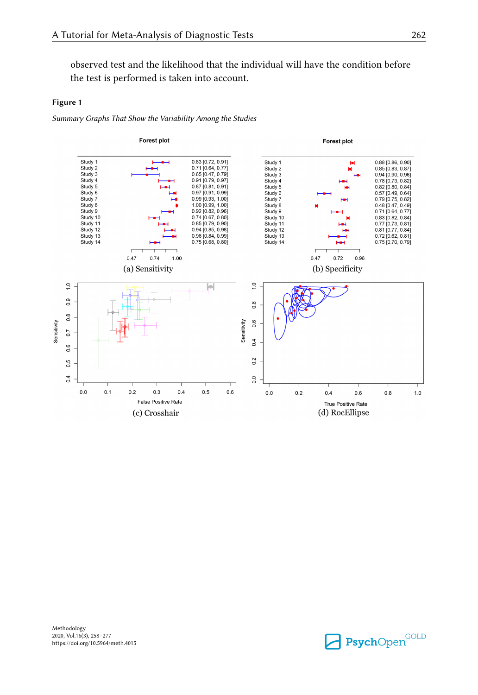<span id="page-4-0"></span>observed test and the likelihood that the individual will have the condition before the test is performed is taken into account.

#### **Figure 1**

*Summary Graphs That Show the Variability Among the Studies*



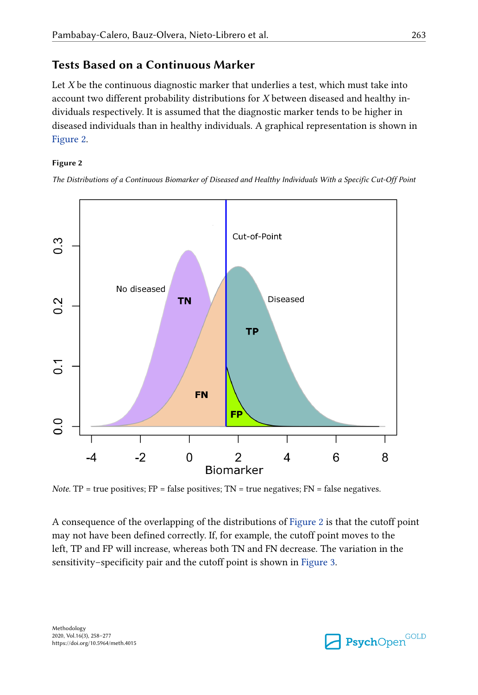## **Tests Based on a Continuous Marker**

Let *X* be the continuous diagnostic marker that underlies a test, which must take into account two different probability distributions for *X* between diseased and healthy in‐ dividuals respectively. It is assumed that the diagnostic marker tends to be higher in diseased individuals than in healthy individuals. A graphical representation is shown in Figure 2.

#### **Figure 2**

*The Distributions of a Continuous Biomarker of Diseased and Healthy Individuals With a Specific Cut-Off Point*



*Note.* TP = true positives;  $FP = false$  positives;  $TN = true$  negatives;  $FN = false$  negatives.

A consequence of the overlapping of the distributions of Figure 2 is that the cutoff point may not have been defined correctly. If, for example, the cutoff point moves to the left, TP and FP will increase, whereas both TN and FN decrease. The variation in the sensitivity–specificity pair and the cutoff point is shown in [Figure 3](#page-6-0).

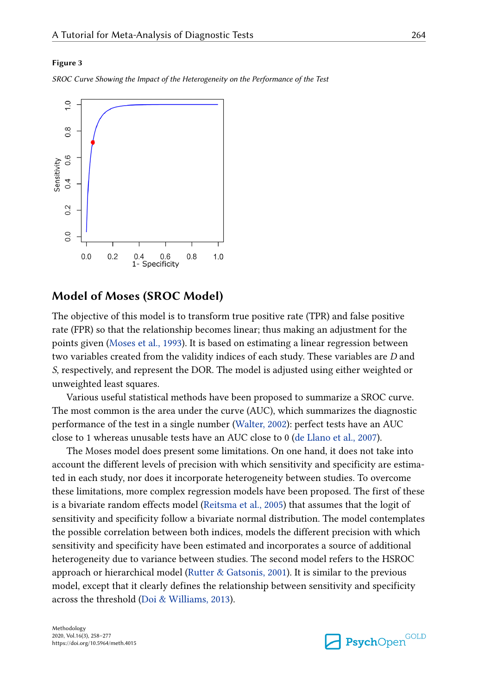#### <span id="page-6-0"></span>**Figure 3**

*SROC Curve Showing the Impact of the Heterogeneity on the Performance of the Test*



#### **Model of Moses (SROC Model)**

The objective of this model is to transform true positive rate (TPR) and false positive rate (FPR) so that the relationship becomes linear; thus making an adjustment for the points given ([Moses et al., 1993](#page-18-0)). It is based on estimating a linear regression between two variables created from the validity indices of each study. These variables are *D* and *S*, respectively, and represent the DOR. The model is adjusted using either weighted or unweighted least squares.

Various useful statistical methods have been proposed to summarize a SROC curve. The most common is the area under the curve (AUC), which summarizes the diagnostic performance of the test in a single number [\(Walter, 2002\)](#page-19-0): perfect tests have an AUC close to 1 whereas unusable tests have an AUC close to 0 ([de Llano et al., 2007](#page-16-0)).

The Moses model does present some limitations. On one hand, it does not take into account the different levels of precision with which sensitivity and specificity are estimated in each study, nor does it incorporate heterogeneity between studies. To overcome these limitations, more complex regression models have been proposed. The first of these is a bivariate random effects model [\(Reitsma et al., 2005](#page-18-0)) that assumes that the logit of sensitivity and specificity follow a bivariate normal distribution. The model contemplates the possible correlation between both indices, models the different precision with which sensitivity and specificity have been estimated and incorporates a source of additional heterogeneity due to variance between studies. The second model refers to the HSROC approach or hierarchical model [\(Rutter & Gatsonis, 2001\)](#page-18-0). It is similar to the previous model, except that it clearly defines the relationship between sensitivity and specificity across the threshold ([Doi & Williams, 2013](#page-17-0)).

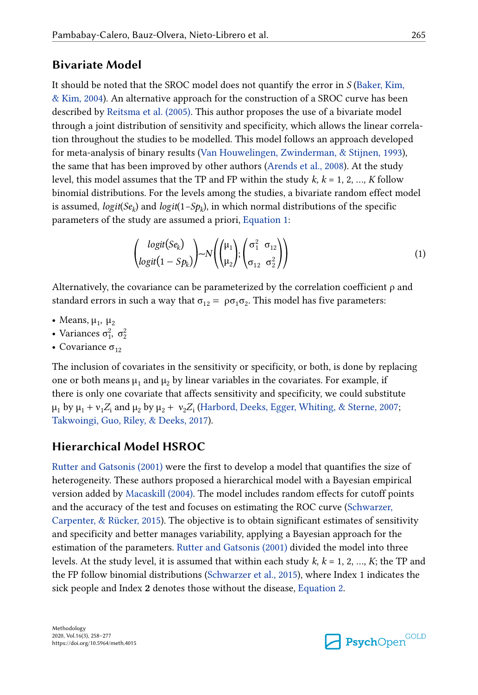### **Bivariate Model**

It should be noted that the SROC model does not quantify the error in *S* [\(Baker, Kim,](#page-16-0) [& Kim, 2004\)](#page-16-0). An alternative approach for the construction of a SROC curve has been described by [Reitsma et al. \(2005\).](#page-18-0) This author proposes the use of a bivariate model through a joint distribution of sensitivity and specificity, which allows the linear correla‐ tion throughout the studies to be modelled. This model follows an approach developed for meta-analysis of binary results ([Van Houwelingen, Zwinderman, & Stijnen, 1993\)](#page-19-0), the same that has been improved by other authors ([Arends et al., 2008\)](#page-16-0). At the study level, this model assumes that the TP and FP within the study *k, k* = 1, 2, *…, K* follow binomial distributions. For the levels among the studies, a bivariate random effect model is assumed, *logit*(*Se<sup>k</sup>* ) and *logit*(1*−Sp<sup>k</sup>* ), in which normal distributions of the specific parameters of the study are assumed a priori, Equation 1:

$$
\begin{pmatrix}\n\logit(Se_k) \\
\logit(1 - Sp_k)\n\end{pmatrix} \sim N \begin{pmatrix}\n\mu_1 \\
\mu_2\n\end{pmatrix}; \begin{pmatrix}\n\sigma_1^2 & \sigma_{12} \\
\sigma_{12} & \sigma_2^2\n\end{pmatrix}
$$
\n(1)

Alternatively, the covariance can be parameterized by the correlation coefficient  $\rho$  and standard errors in such a way that  $\sigma_{12} = \rho \sigma_1 \sigma_2$ . This model has five parameters:  $\left\{ \begin{matrix} 1 \\ \text{Ly, the cov} \\ \text{or} \\ \text{or} \\ \text{g} \end{matrix} \right.$ <br>  $\left\{ \begin{matrix} 1 \\ \text{2} \\ \text{2} \\ \text{2} \end{matrix} \right. \right.$ (*logit*)<br>the covaria<br>s in such a<br> $\frac{2}{3}$ ,  $\sigma_2^2$ <br> $\sigma_{12}$ 

- Means,  $\mu_1$ ,  $\mu_2$
- Variances  $\sigma_1^2$ ,  $\sigma_2^2$
- Covariance  $\sigma_{12}$

The inclusion of covariates in the sensitivity or specificity, or both, is done by replacing one or both means  $\mu_1$  and  $\mu_2$  by linear variables in the covariates. For example, if there is only one covariate that affects sensitivity and specificity, we could substitute  $\mu_1$  by  $\mu_1 + \nu_1 Z_i$  and  $\mu_2$  by  $\mu_2 + \nu_2 Z_i$  [\(Harbord, Deeks, Egger, Whiting, & Sterne, 2007](#page-17-0); [Takwoingi, Guo, Riley, & Deeks, 2017\)](#page-19-0).

## **Hierarchical Model HSROC**

[Rutter and Gatsonis \(2001\)](#page-18-0) were the first to develop a model that quantifies the size of heterogeneity. These authors proposed a hierarchical model with a Bayesian empirical version added by [Macaskill \(2004\).](#page-18-0) The model includes random effects for cutoff points and the accuracy of the test and focuses on estimating the ROC curve [\(Schwarzer,](#page-18-0) [Carpenter, & Rücker, 2015](#page-18-0)). The objective is to obtain significant estimates of sensitivity and specificity and better manages variability, applying a Bayesian approach for the estimation of the parameters. [Rutter and Gatsonis \(2001\)](#page-18-0) divided the model into three levels. At the study level, it is assumed that within each study *k, k* = 1, 2, *…, K*; the TP and the FP follow binomial distributions [\(Schwarzer et al., 2015](#page-18-0)), where Index 1 indicates the sick people and Index **2** denotes those without the disease, [Equation 2.](#page-8-0)

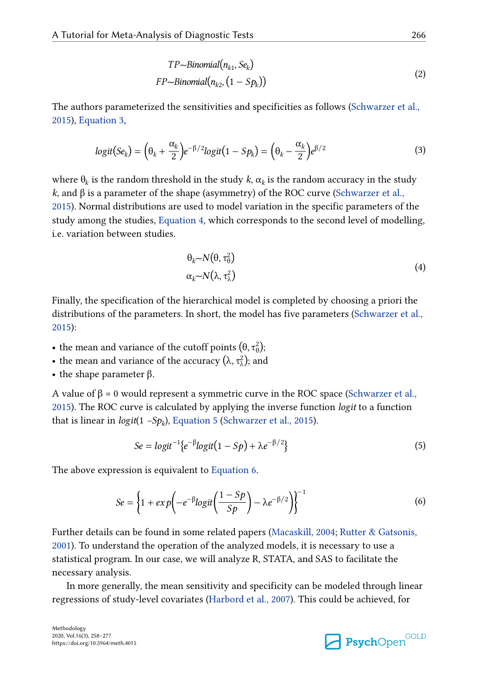$$
TP \sim Binomial(n_{k1}, Se_k)
$$
  
FP \sim Binomial(n\_{k2}, (1 - Sp\_k)) (2)

<span id="page-8-0"></span>The authors parameterized the sensitivities and specificities as follows [\(Schwarzer et al.,](#page-18-0) [2015\)](#page-18-0), Equation 3,

$$
logit(Se_k) = \left(\theta_k + \frac{\alpha_k}{2}\right)e^{-\beta/2}logit(1 - Sp_k) = \left(\theta_k - \frac{\alpha_k}{2}\right)e^{\beta/2}
$$
\n(3)

where  $\theta_k$  is the random threshold in the study  $k$ ,  $\alpha_k$  is the random accuracy in the study *k*, and β is a parameter of the shape (asymmetry) of the ROC curve [\(Schwarzer et al.,](#page-18-0) [2015\)](#page-18-0). Normal distributions are used to model variation in the specific parameters of the study among the studies, Equation 4, which corresponds to the second level of modelling, i.e. variation between studies.

$$
\theta_k \sim N(\theta, \tau_0^2) \n\alpha_k \sim N(\lambda, \tau_\lambda^2)
$$
\n(4)

Finally, the specification of the hierarchical model is completed by choosing a priori the distributions of the parameters. In short, the model has five parameters [\(Schwarzer et al.,](#page-18-0) [2015\)](#page-18-0): **•**  $\alpha_k \sim N(\lambda, \tau_\lambda^2)$ <br>Finally, the specification of the hierarchical model is com<br>distributions of the parameters. In short, the model has fi<br>2015):<br>• the mean and variance of the cutoff points  $(\theta, \tau_\theta^2)$ ;<br>• the mean a **Finally, the specification of the hierarchical model is c<br>distributions of the parameters. In short, the model ha<br>2015):<br>•• the mean and variance of the cutoff points (θ, τ<sup>2</sup><sub>0</sub>);<br>•• the mean and variance of the accura** 

- $\binom{2}{\theta}$ ;
- $\lambda^2$ ); and
- **•** the shape parameter β.

A value of  $\beta = 0$  would represent a symmetric curve in the ROC space [\(Schwarzer et al.,](#page-18-0) [2015\)](#page-18-0). The ROC curve is calculated by applying the inverse function *logit* to a function that is linear in *logit*(1 *−Sp<sup>k</sup>* ), Equation 5 ([Schwarzer et al., 2015\)](#page-18-0).

$$
Se = logit^{-1}\lbrace e^{-\beta}logit(1 - Sp) + \lambda e^{-\beta/2} \rbrace
$$
\n(5)

The above expression is equivalent to Equation 6.

$$
Se = \left\{1 + exp\left(-e^{-\beta}logit\left(\frac{1 - Sp}{Sp}\right) - \lambda e^{-\beta/2}\right)\right\}^{-1}
$$
(6)

Further details can be found in some related papers ([Macaskill, 2004](#page-18-0); [Rutter & Gatsonis,](#page-18-0) [2001\)](#page-18-0). To understand the operation of the analyzed models, it is necessary to use a statistical program. In our case, we will analyze R, STATA, and SAS to facilitate the necessary analysis.

In more generally, the mean sensitivity and specificity can be modeled through linear regressions of study-level covariates ([Harbord et al., 2007](#page-17-0)). This could be achieved, for

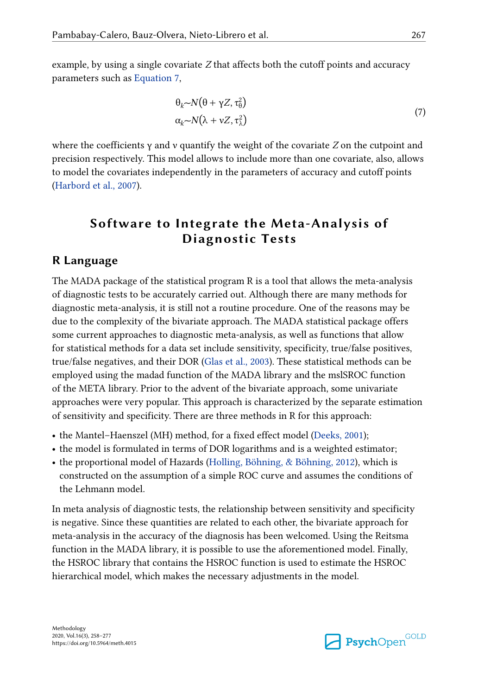example, by using a single covariate *Z* that affects both the cutoff points and accuracy parameters such as Equation 7,

$$
\theta_k \sim N(\theta + \gamma Z, \tau_0^2) \n\alpha_k \sim N(\lambda + \nu Z, \tau_\lambda^2)
$$
\n(7)

where the coefficients γ and ν quantify the weight of the covariate *Z* on the cutpoint and precision respectively. This model allows to include more than one covariate, also, allows to model the covariates independently in the parameters of accuracy and cutoff points [\(Harbord et al., 2007\)](#page-17-0).

# **Software to Integrate the Meta-Analysis of Diagnostic Tests**

#### **R Language**

The MADA package of the statistical program R is a tool that allows the meta-analysis of diagnostic tests to be accurately carried out. Although there are many methods for diagnostic meta-analysis, it is still not a routine procedure. One of the reasons may be due to the complexity of the bivariate approach. The MADA statistical package offers some current approaches to diagnostic meta-analysis, as well as functions that allow for statistical methods for a data set include sensitivity, specificity, true/false positives, true/false negatives, and their DOR [\(Glas et al., 2003\)](#page-17-0). These statistical methods can be employed using the madad function of the MADA library and the mslSROC function of the META library. Prior to the advent of the bivariate approach, some univariate approaches were very popular. This approach is characterized by the separate estimation of sensitivity and specificity. There are three methods in R for this approach:

- the Mantel–Haenszel (MH) method, for a fixed effect model ([Deeks, 2001\)](#page-16-0);
- **•** the model is formulated in terms of DOR logarithms and is a weighted estimator;
- the proportional model of Hazards ([Holling, Böhning, & Böhning, 2012](#page-17-0)), which is constructed on the assumption of a simple ROC curve and assumes the conditions of the Lehmann model.

In meta analysis of diagnostic tests, the relationship between sensitivity and specificity is negative. Since these quantities are related to each other, the bivariate approach for meta-analysis in the accuracy of the diagnosis has been welcomed. Using the Reitsma function in the MADA library, it is possible to use the aforementioned model. Finally, the HSROC library that contains the HSROC function is used to estimate the HSROC hierarchical model, which makes the necessary adjustments in the model.

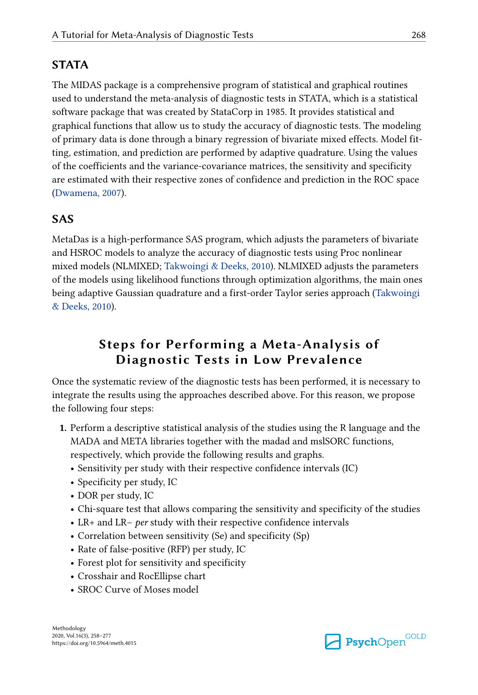# **STATA**

The MIDAS package is a comprehensive program of statistical and graphical routines used to understand the meta-analysis of diagnostic tests in STATA, which is a statistical software package that was created by StataCorp in 1985. It provides statistical and graphical functions that allow us to study the accuracy of diagnostic tests. The modeling of primary data is done through a binary regression of bivariate mixed effects. Model fit‐ ting, estimation, and prediction are performed by adaptive quadrature. Using the values of the coefficients and the variance-covariance matrices, the sensitivity and specificity are estimated with their respective zones of confidence and prediction in the ROC space [\(Dwamena, 2007\)](#page-17-0).

# **SAS**

MetaDas is a high-performance SAS program, which adjusts the parameters of bivariate and HSROC models to analyze the accuracy of diagnostic tests using Proc nonlinear mixed models (NLMIXED; [Takwoingi & Deeks, 2010\)](#page-18-0). NLMIXED adjusts the parameters of the models using likelihood functions through optimization algorithms, the main ones being adaptive Gaussian quadrature and a first-order Taylor series approach ([Takwoingi](#page-18-0) [& Deeks, 2010\)](#page-18-0).

# **Steps for Performing a Meta-Analysis of Diagnostic Tests in Low Prevalence**

Once the systematic review of the diagnostic tests has been performed, it is necessary to integrate the results using the approaches described above. For this reason, we propose the following four steps:

- **1.** Perform a descriptive statistical analysis of the studies using the R language and the MADA and META libraries together with the madad and mslSORC functions, respectively, which provide the following results and graphs.
	- **•** Sensitivity per study with their respective confidence intervals (IC)
	- **•** Specificity per study, IC
	- **•** DOR per study, IC
	- **•** Chi-square test that allows comparing the sensitivity and specificity of the studies
	- **•** LR+ and LR− *per* study with their respective confidence intervals
	- **•** Correlation between sensitivity (Se) and specificity (Sp)
	- **•** Rate of false-positive (RFP) per study, IC
	- **•** Forest plot for sensitivity and specificity
	- **•** Crosshair and RocEllipse chart
	- **•** SROC Curve of Moses model

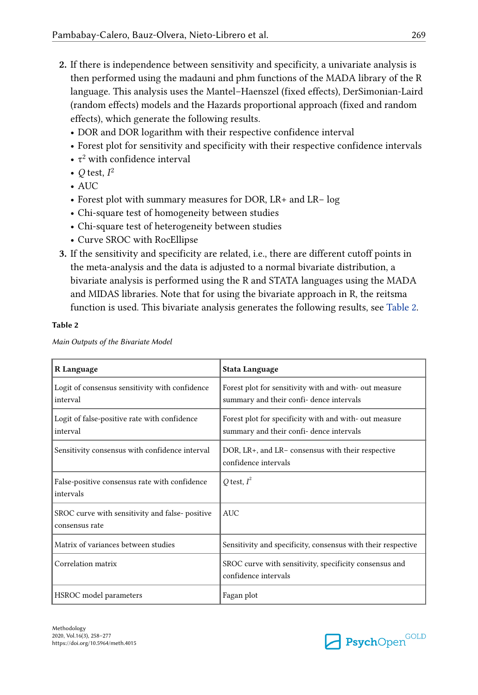- **2.** If there is independence between sensitivity and specificity, a univariate analysis is then performed using the madauni and phm functions of the MADA library of the R language. This analysis uses the Mantel–Haenszel (fixed effects), DerSimonian-Laird (random effects) models and the Hazards proportional approach (fixed and random effects), which generate the following results.
	- **•** DOR and DOR logarithm with their respective confidence interval
	- **•** Forest plot for sensitivity and specificity with their respective confidence intervals
	- τ<sup>2</sup> with confidence interval
	- $Q$  test,  $I^2$
	- **•** AUC
	- **•** Forest plot with summary measures for DOR, LR+ and LR− log
	- **•** Chi-square test of homogeneity between studies
	- **•** Chi-square test of heterogeneity between studies
	- **•** Curve SROC with RocEllipse
- **3.** If the sensitivity and specificity are related, i.e., there are different cutoff points in the meta-analysis and the data is adjusted to a normal bivariate distribution, a bivariate analysis is performed using the R and STATA languages using the MADA and MIDAS libraries. Note that for using the bivariate approach in R, the reitsma function is used. This bivariate analysis generates the following results, see Table 2.

#### **Table 2**

| R Language                                                       | Stata Language                                                                                    |  |
|------------------------------------------------------------------|---------------------------------------------------------------------------------------------------|--|
| Logit of consensus sensitivity with confidence<br>interval       | Forest plot for sensitivity with and with-out measure<br>summary and their confi- dence intervals |  |
| Logit of false-positive rate with confidence<br>interval         | Forest plot for specificity with and with-out measure<br>summary and their confi- dence intervals |  |
| Sensitivity consensus with confidence interval                   | DOR, LR+, and LR- consensus with their respective<br>confidence intervals                         |  |
| False-positive consensus rate with confidence<br>intervals       | O test, $I^2$                                                                                     |  |
| SROC curve with sensitivity and false-positive<br>consensus rate | <b>AUC</b>                                                                                        |  |
| Matrix of variances between studies                              | Sensitivity and specificity, consensus with their respective                                      |  |
| Correlation matrix                                               | SROC curve with sensitivity, specificity consensus and<br>confidence intervals                    |  |
| HSROC model parameters                                           | Fagan plot                                                                                        |  |

*Main Outputs of the Bivariate Model*

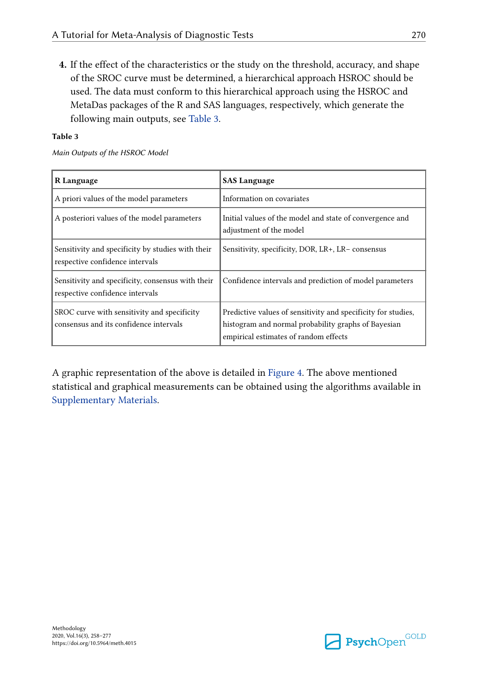**4.** If the effect of the characteristics or the study on the threshold, accuracy, and shape of the SROC curve must be determined, a hierarchical approach HSROC should be used. The data must conform to this hierarchical approach using the HSROC and MetaDas packages of the R and SAS languages, respectively, which generate the following main outputs, see Table 3.

#### **Table 3**

*Main Outputs of the HSROC Model*

| R Language                                                                            | <b>SAS Language</b>                                                                                                                                           |  |
|---------------------------------------------------------------------------------------|---------------------------------------------------------------------------------------------------------------------------------------------------------------|--|
| A priori values of the model parameters                                               | Information on covariates                                                                                                                                     |  |
| A posteriori values of the model parameters                                           | Initial values of the model and state of convergence and<br>adjustment of the model                                                                           |  |
| Sensitivity and specificity by studies with their<br>respective confidence intervals  | Sensitivity, specificity, DOR, LR+, LR-consensus                                                                                                              |  |
| Sensitivity and specificity, consensus with their<br>respective confidence intervals  | Confidence intervals and prediction of model parameters                                                                                                       |  |
| SROC curve with sensitivity and specificity<br>consensus and its confidence intervals | Predictive values of sensitivity and specificity for studies,<br>histogram and normal probability graphs of Bayesian<br>empirical estimates of random effects |  |

A graphic representation of the above is detailed in [Figure 4.](#page-13-0) The above mentioned statistical and graphical measurements can be obtained using the algorithms available in [Supplementary Materials.](#page-15-0)

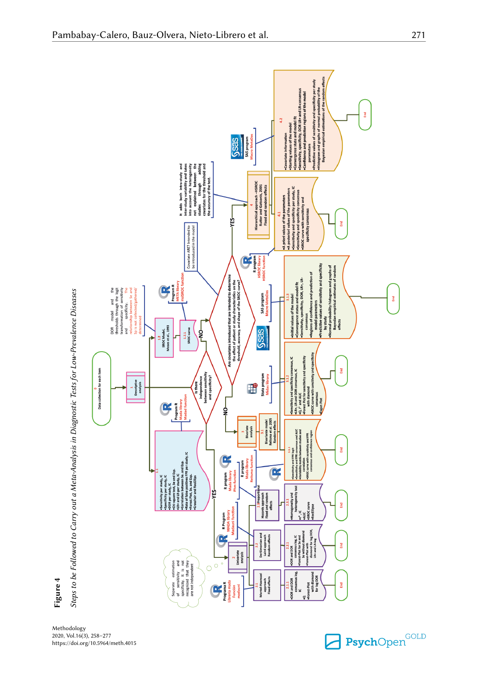<span id="page-13-0"></span>

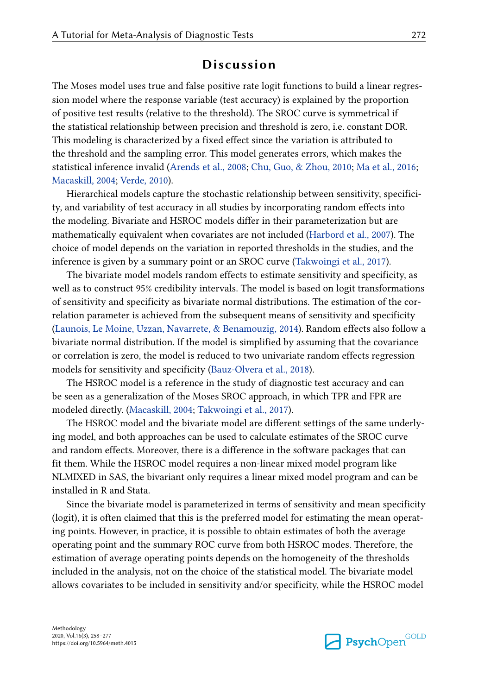### **Discussion**

The Moses model uses true and false positive rate logit functions to build a linear regression model where the response variable (test accuracy) is explained by the proportion of positive test results (relative to the threshold). The SROC curve is symmetrical if the statistical relationship between precision and threshold is zero, i.e. constant DOR. This modeling is characterized by a fixed effect since the variation is attributed to the threshold and the sampling error. This model generates errors, which makes the statistical inference invalid [\(Arends et al., 2008](#page-16-0); [Chu, Guo, & Zhou, 2010](#page-16-0); [Ma et al., 2016](#page-18-0); [Macaskill, 2004](#page-18-0); [Verde, 2010\)](#page-19-0).

Hierarchical models capture the stochastic relationship between sensitivity, specificity, and variability of test accuracy in all studies by incorporating random effects into the modeling. Bivariate and HSROC models differ in their parameterization but are mathematically equivalent when covariates are not included ([Harbord et al., 2007\)](#page-17-0). The choice of model depends on the variation in reported thresholds in the studies, and the inference is given by a summary point or an SROC curve [\(Takwoingi et al., 2017\)](#page-19-0).

The bivariate model models random effects to estimate sensitivity and specificity, as well as to construct 95% credibility intervals. The model is based on logit transformations of sensitivity and specificity as bivariate normal distributions. The estimation of the cor‐ relation parameter is achieved from the subsequent means of sensitivity and specificity [\(Launois, Le Moine, Uzzan, Navarrete, & Benamouzig, 2014](#page-17-0)). Random effects also follow a bivariate normal distribution. If the model is simplified by assuming that the covariance or correlation is zero, the model is reduced to two univariate random effects regression models for sensitivity and specificity ([Bauz-Olvera et al., 2018\)](#page-16-0).

The HSROC model is a reference in the study of diagnostic test accuracy and can be seen as a generalization of the Moses SROC approach, in which TPR and FPR are modeled directly. ([Macaskill, 2004;](#page-18-0) [Takwoingi et al., 2017](#page-19-0)).

The HSROC model and the bivariate model are different settings of the same underly‐ ing model, and both approaches can be used to calculate estimates of the SROC curve and random effects. Moreover, there is a difference in the software packages that can fit them. While the HSROC model requires a non-linear mixed model program like NLMIXED in SAS, the bivariant only requires a linear mixed model program and can be installed in R and Stata.

Since the bivariate model is parameterized in terms of sensitivity and mean specificity (logit), it is often claimed that this is the preferred model for estimating the mean operat‐ ing points. However, in practice, it is possible to obtain estimates of both the average operating point and the summary ROC curve from both HSROC modes. Therefore, the estimation of average operating points depends on the homogeneity of the thresholds included in the analysis, not on the choice of the statistical model. The bivariate model allows covariates to be included in sensitivity and/or specificity, while the HSROC model

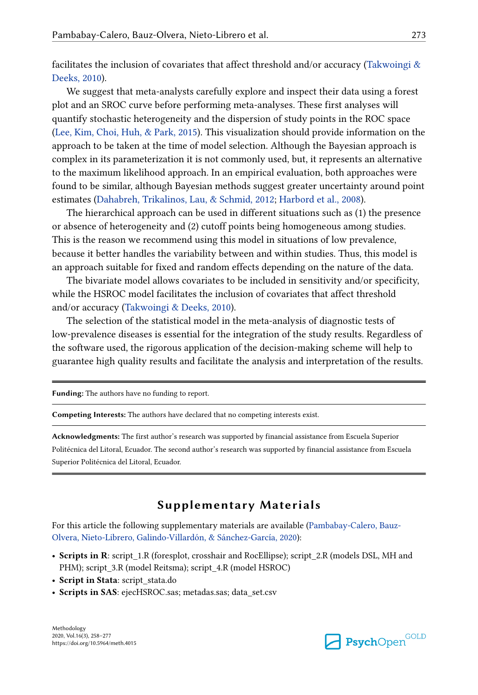<span id="page-15-0"></span>facilitates the inclusion of covariates that affect threshold and/or accuracy (Takwoingi  $\&$ [Deeks, 2010](#page-18-0)).

We suggest that meta-analysts carefully explore and inspect their data using a forest plot and an SROC curve before performing meta-analyses. These first analyses will quantify stochastic heterogeneity and the dispersion of study points in the ROC space [\(Lee, Kim, Choi, Huh, & Park, 2015](#page-17-0)). This visualization should provide information on the approach to be taken at the time of model selection. Although the Bayesian approach is complex in its parameterization it is not commonly used, but, it represents an alternative to the maximum likelihood approach. In an empirical evaluation, both approaches were found to be similar, although Bayesian methods suggest greater uncertainty around point estimates ([Dahabreh, Trikalinos, Lau, & Schmid, 2012;](#page-16-0) [Harbord et al., 2008](#page-17-0)).

The hierarchical approach can be used in different situations such as (1) the presence or absence of heterogeneity and (2) cutoff points being homogeneous among studies. This is the reason we recommend using this model in situations of low prevalence, because it better handles the variability between and within studies. Thus, this model is an approach suitable for fixed and random effects depending on the nature of the data.

The bivariate model allows covariates to be included in sensitivity and/or specificity, while the HSROC model facilitates the inclusion of covariates that affect threshold and/or accuracy [\(Takwoingi & Deeks, 2010](#page-18-0)).

The selection of the statistical model in the meta-analysis of diagnostic tests of low-prevalence diseases is essential for the integration of the study results. Regardless of the software used, the rigorous application of the decision-making scheme will help to guarantee high quality results and facilitate the analysis and interpretation of the results.

**Funding:** The authors have no funding to report.

**Competing Interests:** The authors have declared that no competing interests exist.

**Acknowledgments:** The first author's research was supported by financial assistance from Escuela Superior Politécnica del Litoral, Ecuador. The second author's research was supported by financial assistance from Escuela Superior Politécnica del Litoral, Ecuador.

#### **Supplementary Materials**

For this article the following supplementary materials are available ([Pambabay-Calero, Bauz-](#page-16-0)[Olvera, Nieto-Librero, Galindo-Villardón, & Sánchez-García, 2020\)](#page-16-0):

- Scripts in R: script 1.R (foresplot, crosshair and RocEllipse); script 2.R (models DSL, MH and PHM); script\_3.R (model Reitsma); script\_4.R (model HSROC)
- **Script in Stata**: script\_stata.do
- **Scripts in SAS**: ejecHSROC.sas; metadas.sas; data\_set.csv

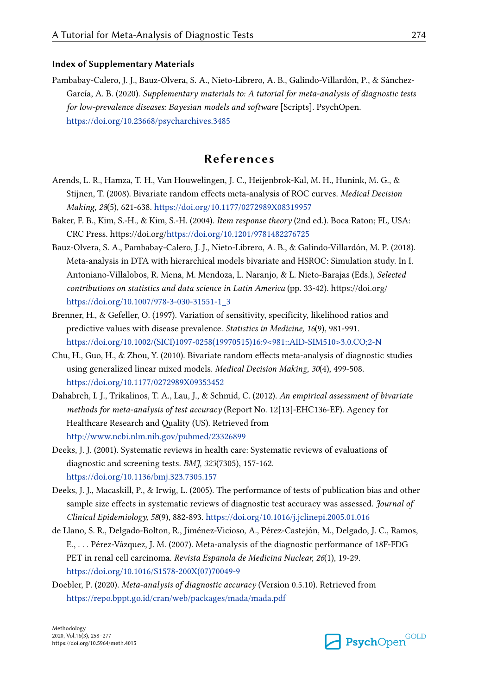#### <span id="page-16-0"></span>**Index of Supplementary Materials**

Pambabay-Calero, J. J., Bauz-Olvera, S. A., Nieto-Librero, A. B., Galindo-Villardón, P., & Sánchez-García, A. B. (2020). *Supplementary materials to: A tutorial for meta-analysis of diagnostic tests for low-prevalence diseases: Bayesian models and software* [Scripts]. PsychOpen. <https://doi.org/10.23668/psycharchives.3485>

### **References**

- Arends, L. R., Hamza, T. H., Van Houwelingen, J. C., Heijenbrok-Kal, M. H., Hunink, M. G., & Stijnen, T. (2008). Bivariate random effects meta-analysis of ROC curves. *Medical Decision Making, 28*(5), 621-638. <https://doi.org/10.1177/0272989X08319957>
- Baker, F. B., Kim, S.-H., & Kim, S.-H. (2004). *Item response theory* (2nd ed.). Boca Raton; FL, USA: CRC Press. https://doi.org[/https://doi.org/10.1201/9781482276725](https://doi.org/10.1201/9781482276725)
- Bauz-Olvera, S. A., Pambabay-Calero, J. J., Nieto-Librero, A. B., & Galindo-Villardón, M. P. (2018). Meta-analysis in DTA with hierarchical models bivariate and HSROC: Simulation study. In I. Antoniano-Villalobos, R. Mena, M. Mendoza, L. Naranjo, & L. Nieto-Barajas (Eds.), *Selected contributions on statistics and data science in Latin America* (pp. 33-42). https://doi.org/ [https://doi.org/10.1007/978-3-030-31551-1\\_3](https://doi.org/10.1007/978-3-030-31551-1_3)
- Brenner, H., & Gefeller, O. (1997). Variation of sensitivity, specificity, likelihood ratios and predictive values with disease prevalence. *Statistics in Medicine, 16*(9), 981-991. [https://doi.org/10.1002/\(SICI\)1097-0258\(19970515\)16:9<981::AID-SIM510>3.0.CO;2-N](https://doi.org/10.1002/(SICI)1097-0258(19970515)16:9<981::AID-SIM510>3.0.CO;2-N)
- Chu, H., Guo, H., & Zhou, Y. (2010). Bivariate random effects meta-analysis of diagnostic studies using generalized linear mixed models. *Medical Decision Making, 30*(4), 499-508. <https://doi.org/10.1177/0272989X09353452>
- Dahabreh, I. J., Trikalinos, T. A., Lau, J., & Schmid, C. (2012). *An empirical assessment of bivariate methods for meta-analysis of test accuracy* (Report No. 12[13]-EHC136-EF). Agency for Healthcare Research and Quality (US). Retrieved from <http://www.ncbi.nlm.nih.gov/pubmed/23326899>
- Deeks, J. J. (2001). Systematic reviews in health care: Systematic reviews of evaluations of diagnostic and screening tests. *BMJ, 323*(7305), 157-162. <https://doi.org/10.1136/bmj.323.7305.157>
- Deeks, J. J., Macaskill, P., & Irwig, L. (2005). The performance of tests of publication bias and other sample size effects in systematic reviews of diagnostic test accuracy was assessed. *Journal of Clinical Epidemiology, 58*(9), 882-893. <https://doi.org/10.1016/j.jclinepi.2005.01.016>
- de Llano, S. R., Delgado-Bolton, R., Jiménez-Vicioso, A., Pérez-Castejón, M., Delgado, J. C., Ramos, E., . . . Pérez-Vázquez, J. M. (2007). Meta-analysis of the diagnostic performance of 18F-FDG PET in renal cell carcinoma. *Revista Espanola de Medicina Nuclear, 26*(1), 19-29. [https://doi.org/10.1016/S1578-200X\(07\)70049-9](https://doi.org/10.1016/S1578-200X(07)70049-9)
- Doebler, P. (2020). *Meta-analysis of diagnostic accuracy* (Version 0.5.10). Retrieved from <https://repo.bppt.go.id/cran/web/packages/mada/mada.pdf>

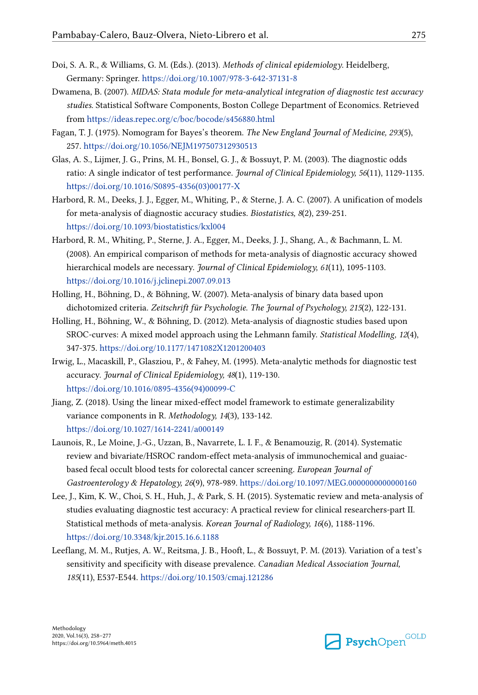- <span id="page-17-0"></span>Doi, S. A. R., & Williams, G. M. (Eds.). (2013). *Methods of clinical epidemiology*. Heidelberg, Germany: Springer.<https://doi.org/10.1007/978-3-642-37131-8>
- Dwamena, B. (2007). *MIDAS: Stata module for meta-analytical integration of diagnostic test accuracy studies.* Statistical Software Components, Boston College Department of Economics. Retrieved from<https://ideas.repec.org/c/boc/bocode/s456880.html>
- Fagan, T. J. (1975). Nomogram for Bayes's theorem. *The New England Journal of Medicine, 293*(5), 257. <https://doi.org/10.1056/NEJM197507312930513>
- Glas, A. S., Lijmer, J. G., Prins, M. H., Bonsel, G. J., & Bossuyt, P. M. (2003). The diagnostic odds ratio: A single indicator of test performance. *Journal of Clinical Epidemiology, 56*(11), 1129-1135. [https://doi.org/10.1016/S0895-4356\(03\)00177-X](https://doi.org/10.1016/S0895-4356(03)00177-X)
- Harbord, R. M., Deeks, J. J., Egger, M., Whiting, P., & Sterne, J. A. C. (2007). A unification of models for meta-analysis of diagnostic accuracy studies. *Biostatistics, 8*(2), 239-251. <https://doi.org/10.1093/biostatistics/kxl004>
- Harbord, R. M., Whiting, P., Sterne, J. A., Egger, M., Deeks, J. J., Shang, A., & Bachmann, L. M. (2008). An empirical comparison of methods for meta-analysis of diagnostic accuracy showed hierarchical models are necessary. *Journal of Clinical Epidemiology, 61*(11), 1095-1103. <https://doi.org/10.1016/j.jclinepi.2007.09.013>
- Holling, H., Böhning, D., & Böhning, W. (2007). Meta-analysis of binary data based upon dichotomized criteria. *Zeitschrift für Psychologie*. *The Journal of Psychology, 215*(2), 122-131.
- Holling, H., Böhning, W., & Böhning, D. (2012). Meta-analysis of diagnostic studies based upon SROC-curves: A mixed model approach using the Lehmann family. *Statistical Modelling, 12*(4), 347-375. <https://doi.org/10.1177/1471082X1201200403>
- Irwig, L., Macaskill, P., Glasziou, P., & Fahey, M. (1995). Meta-analytic methods for diagnostic test accuracy. *Journal of Clinical Epidemiology, 48*(1), 119-130. [https://doi.org/10.1016/0895-4356\(94\)00099-C](https://doi.org/10.1016/0895-4356(94)00099-C)
- Jiang, Z. (2018). Using the linear mixed-effect model framework to estimate generalizability variance components in R. *Methodology, 14*(3), 133-142. <https://doi.org/10.1027/1614-2241/a000149>
- Launois, R., Le Moine, J.-G., Uzzan, B., Navarrete, L. I. F., & Benamouzig, R. (2014). Systematic review and bivariate/HSROC random-effect meta-analysis of immunochemical and guaiacbased fecal occult blood tests for colorectal cancer screening. *European Journal of Gastroenterology & Hepatology, 26*(9), 978-989. <https://doi.org/10.1097/MEG.0000000000000160>
- Lee, J., Kim, K. W., Choi, S. H., Huh, J., & Park, S. H. (2015). Systematic review and meta-analysis of studies evaluating diagnostic test accuracy: A practical review for clinical researchers-part II. Statistical methods of meta-analysis. *Korean Journal of Radiology, 16*(6), 1188-1196. <https://doi.org/10.3348/kjr.2015.16.6.1188>
- Leeflang, M. M., Rutjes, A. W., Reitsma, J. B., Hooft, L., & Bossuyt, P. M. (2013). Variation of a test's sensitivity and specificity with disease prevalence. *Canadian Medical Association Journal, 185*(11), E537-E544. <https://doi.org/10.1503/cmaj.121286>

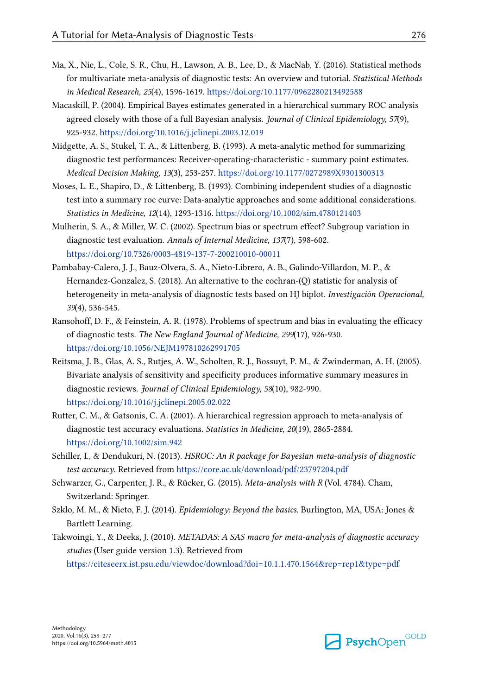- <span id="page-18-0"></span>Ma, X., Nie, L., Cole, S. R., Chu, H., Lawson, A. B., Lee, D., & MacNab, Y. (2016). Statistical methods for multivariate meta-analysis of diagnostic tests: An overview and tutorial. *Statistical Methods in Medical Research, 25*(4), 1596-1619. <https://doi.org/10.1177/0962280213492588>
- Macaskill, P. (2004). Empirical Bayes estimates generated in a hierarchical summary ROC analysis agreed closely with those of a full Bayesian analysis. *Journal of Clinical Epidemiology, 57*(9), 925-932. <https://doi.org/10.1016/j.jclinepi.2003.12.019>
- Midgette, A. S., Stukel, T. A., & Littenberg, B. (1993). A meta-analytic method for summarizing diagnostic test performances: Receiver-operating-characteristic - summary point estimates. *Medical Decision Making, 13*(3), 253-257. <https://doi.org/10.1177/0272989X9301300313>
- Moses, L. E., Shapiro, D., & Littenberg, B. (1993). Combining independent studies of a diagnostic test into a summary roc curve: Data-analytic approaches and some additional considerations. *Statistics in Medicine, 12*(14), 1293-1316.<https://doi.org/10.1002/sim.4780121403>
- Mulherin, S. A., & Miller, W. C. (2002). Spectrum bias or spectrum effect? Subgroup variation in diagnostic test evaluation. *Annals of Internal Medicine, 137*(7), 598-602. <https://doi.org/10.7326/0003-4819-137-7-200210010-00011>
- Pambabay-Calero, J. J., Bauz-Olvera, S. A., Nieto-Librero, A. B., Galindo-Villardon, M. P., & Hernandez-Gonzalez, S. (2018). An alternative to the cochran-(Q) statistic for analysis of heterogeneity in meta-analysis of diagnostic tests based on HJ biplot. *Investigación Operacional, 39*(4), 536-545.
- Ransohoff, D. F., & Feinstein, A. R. (1978). Problems of spectrum and bias in evaluating the efficacy of diagnostic tests. *The New England Journal of Medicine, 299*(17), 926-930. <https://doi.org/10.1056/NEJM197810262991705>
- Reitsma, J. B., Glas, A. S., Rutjes, A. W., Scholten, R. J., Bossuyt, P. M., & Zwinderman, A. H. (2005). Bivariate analysis of sensitivity and specificity produces informative summary measures in diagnostic reviews. *Journal of Clinical Epidemiology, 58*(10), 982-990. <https://doi.org/10.1016/j.jclinepi.2005.02.022>
- Rutter, C. M., & Gatsonis, C. A. (2001). A hierarchical regression approach to meta-analysis of diagnostic test accuracy evaluations. *Statistics in Medicine, 20*(19), 2865-2884. <https://doi.org/10.1002/sim.942>
- Schiller, I., & Dendukuri, N. (2013). *HSROC: An R package for Bayesian meta-analysis of diagnostic test accuracy*. Retrieved from <https://core.ac.uk/download/pdf/23797204.pdf>
- Schwarzer, G., Carpenter, J. R., & Rücker, G. (2015). *Meta-analysis with R* (Vol. 4784). Cham, Switzerland: Springer.
- Szklo, M. M., & Nieto, F. J. (2014). *Epidemiology: Beyond the basics*. Burlington, MA, USA: Jones & Bartlett Learning.
- Takwoingi, Y., & Deeks, J. (2010). *METADAS: A SAS macro for meta-analysis of diagnostic accuracy studies* (User guide version 1.3). Retrieved from <https://citeseerx.ist.psu.edu/viewdoc/download?doi=10.1.1.470.1564&rep=rep1&type=pdf>